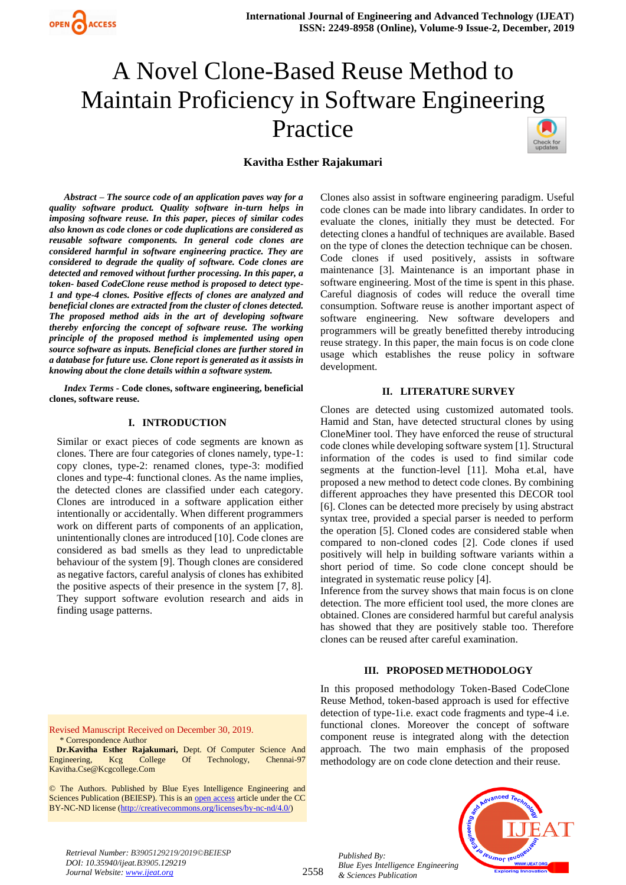

# A Novel Clone-Based Reuse Method to Maintain Proficiency in Software Engineering Practice



#### **Kavitha Esther Rajakumari**

*Abstract – The source code of an application paves way for a quality software product. Quality software in-turn helps in imposing software reuse. In this paper, pieces of similar codes also known as code clones or code duplications are considered as reusable software components. In general code clones are considered harmful in software engineering practice. They are considered to degrade the quality of software. Code clones are detected and removed without further processing. In this paper, a token- based CodeClone reuse method is proposed to detect type-1 and type-4 clones. Positive effects of clones are analyzed and beneficial clones are extracted from the cluster of clones detected. The proposed method aids in the art of developing software thereby enforcing the concept of software reuse. The working principle of the proposed method is implemented using open source software as inputs. Beneficial clones are further stored in a database for future use. Clone report is generated as it assists in knowing about the clone details within a software system.*

*Index Terms -* **Code clones, software engineering, beneficial clones, software reuse.**

#### **I. INTRODUCTION**

Similar or exact pieces of code segments are known as clones. There are four categories of clones namely, type-1: copy clones, type-2: renamed clones, type-3: modified clones and type-4: functional clones. As the name implies, the detected clones are classified under each category. Clones are introduced in a software application either intentionally or accidentally. When different programmers work on different parts of components of an application, unintentionally clones are introduced [10]. Code clones are considered as bad smells as they lead to unpredictable behaviour of the system [9]. Though clones are considered as negative factors, careful analysis of clones has exhibited the positive aspects of their presence in the system [7, 8]. They support software evolution research and aids in finding usage patterns.

Clones also assist in software engineering paradigm. Useful code clones can be made into library candidates. In order to evaluate the clones, initially they must be detected. For detecting clones a handful of techniques are available. Based on the type of clones the detection technique can be chosen. Code clones if used positively, assists in software maintenance [3]. Maintenance is an important phase in software engineering. Most of the time is spent in this phase. Careful diagnosis of codes will reduce the overall time consumption. Software reuse is another important aspect of software engineering. New software developers and programmers will be greatly benefitted thereby introducing reuse strategy. In this paper, the main focus is on code clone usage which establishes the reuse policy in software development.

#### **II. LITERATURE SURVEY**

Clones are detected using customized automated tools. Hamid and Stan, have detected structural clones by using CloneMiner tool. They have enforced the reuse of structural code clones while developing software system [1]. Structural information of the codes is used to find similar code segments at the function-level [11]. Moha et.al, have proposed a new method to detect code clones. By combining different approaches they have presented this DECOR tool [6]. Clones can be detected more precisely by using abstract syntax tree, provided a special parser is needed to perform the operation [5]. Cloned codes are considered stable when compared to non-cloned codes [2]. Code clones if used positively will help in building software variants within a short period of time. So code clone concept should be integrated in systematic reuse policy [4].

Inference from the survey shows that main focus is on clone detection. The more efficient tool used, the more clones are obtained. Clones are considered harmful but careful analysis has showed that they are positively stable too. Therefore clones can be reused after careful examination.

#### **III. PROPOSED METHODOLOGY**

In this proposed methodology Token-Based CodeClone Reuse Method, token-based approach is used for effective detection of type-1i.e. exact code fragments and type-4 i.e. functional clones. Moreover the concept of software component reuse is integrated along with the detection approach. The two main emphasis of the proposed methodology are on code clone detection and their reuse.

Revised Manuscript Received on December 30, 2019. \* Correspondence Author

**Dr.Kavitha Esther Rajakumari,** Dept. Of Computer Science And Engineering, Kcg College Of Technology, Kavitha.Cse@Kcgcollege.Com

© The Authors. Published by Blue Eyes Intelligence Engineering and Sciences Publication (BEIESP). This is a[n open access](https://www.openaccess.nl/en/open-publications) article under the CC BY-NC-ND license [\(http://creativecommons.org/licenses/by-nc-nd/4.0/\)](http://creativecommons.org/licenses/by-nc-nd/4.0/)

> *Published By: Blue Eyes Intelligence Engineering & Sciences Publication*



*Retrieval Number: B3905129219/2019©BEIESP DOI: 10.35940/ijeat.B3905.129219 Journal Website[: www.ijeat.org](http://www.ijeat.org/)*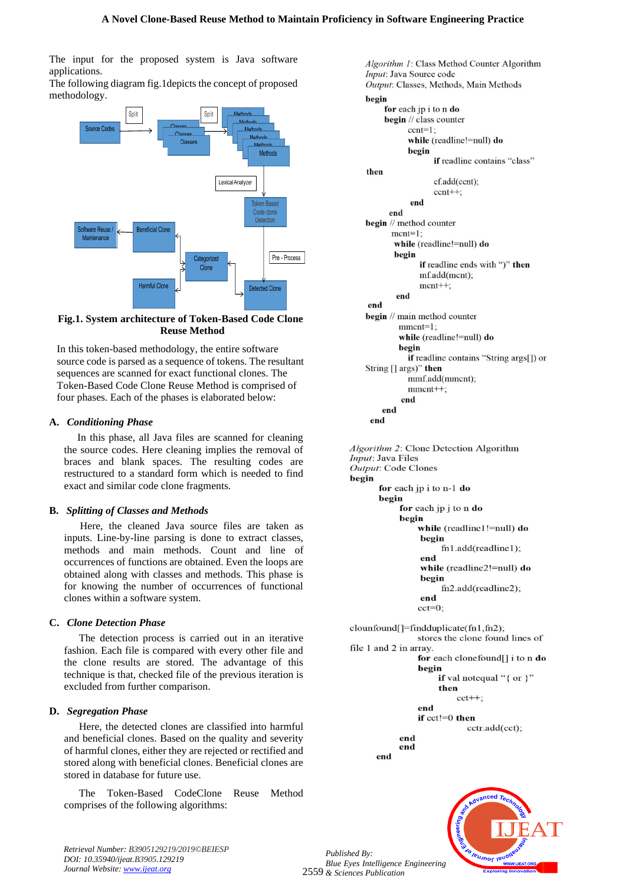The input for the proposed system is Java software applications.

The following diagram fig.1depicts the concept of proposed methodology.



#### **Fig.1. System architecture of Token-Based Code Clone Reuse Method**

In this token-based methodology, the entire software source code is parsed as a sequence of tokens. The resultant sequences are scanned for exact functional clones. The Token-Based Code Clone Reuse Method is comprised of four phases. Each of the phases is elaborated below:

#### **A.** *Conditioning Phase*

In this phase, all Java files are scanned for cleaning the source codes. Here cleaning implies the removal of braces and blank spaces. The resulting codes are restructured to a standard form which is needed to find exact and similar code clone fragments.

#### **B.** *Splitting of Classes and Methods*

Here, the cleaned Java source files are taken as inputs. Line-by-line parsing is done to extract classes, methods and main methods. Count and line of occurrences of functions are obtained. Even the loops are obtained along with classes and methods. This phase is for knowing the number of occurrences of functional clones within a software system.

#### **C.** *Clone Detection Phase*

The detection process is carried out in an iterative fashion. Each file is compared with every other file and the clone results are stored. The advantage of this technique is that, checked file of the previous iteration is excluded from further comparison.

#### **D.** *Segregation Phase*

Here, the detected clones are classified into harmful and beneficial clones. Based on the quality and severity of harmful clones, either they are rejected or rectified and stored along with beneficial clones. Beneficial clones are stored in database for future use.

The Token-Based CodeClone Reuse Method comprises of the following algorithms:

Algorithm 1: Class Method Counter Algorithm Input: Java Source code Output: Classes, Methods, Main Methods begin for each jp i to n do begin // class counter  $cent=1$ : while (readline!=null) do begin if readline contains "class" then cf.add(ccnt);  $cent++$ ; end end begin // method counter  $ment=1$ ; while (readline!=null) do begin if readline ends with ")" then mf.add(mcnt);  $ment++;$ end end begin // main method counter  $mment=1;$ while (readline!=null) do begin **if** readline contains "String args[]) or String [] args)" then mmf.add(mmcnt);  $mment++$ ; end end end

Algorithm 2: Clone Detection Algorithm *Input*: Java Files Output: Code Clones begin for each jp i to n-1 do begin for each jp j to n do begin while (readline1!=null) do begin fn1.add(readline1); end while (readline2!=null) do begin fn2.add(readline2); end  $cct=0$ 

clounfound[]=findduplicate(fn1,fn2); stores the clone found lines of file 1 and 2 in array. for each clonefound[] i to n do begin if val notequal "{ or }" then  $cct++$ end if  $cct!=0$  then cctr.add(cct); end

end end



*Retrieval Number: B3905129219/2019©BEIESP DOI: 10.35940/ijeat.B3905.129219 Journal Website[: www.ijeat.org](http://www.ijeat.org/)*

2559 *& Sciences Publication Published By: Blue Eyes Intelligence Engineering*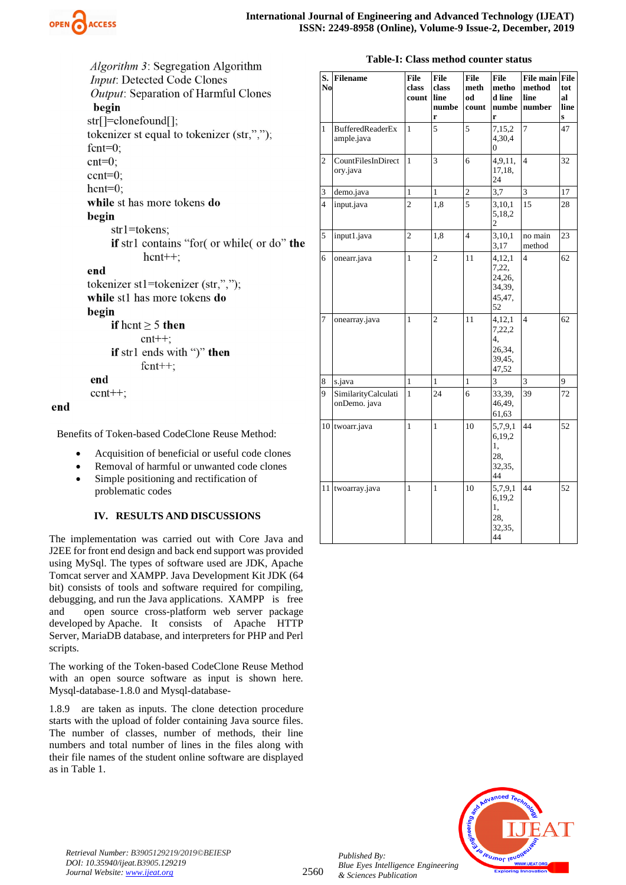

Algorithm 3: Segregation Algorithm Input: Detected Code Clones Output: Separation of Harmful Clones begin str[]=clonefound[]; tokenizer st equal to tokenizer (str,",");

fcnt= $0$ ;  $cnt=0$ :

 $cent=0$ ;

 $h$ cnt=0;

while st has more tokens do begin

 $str1 = tokens$ 

if strl contains "for( or while( or do" the  $h$ cnt++;

## end

tokenizer st1=tokenizer (str,","); while st1 has more tokens do begin if hent  $\geq 5$  then  $cnt++;$ 

if str1 ends with ")" then  $f$ cnt++:

# end

end

 $cent++;$ 

Benefits of Token-based CodeClone Reuse Method:

- Acquisition of beneficial or useful code clones
- Removal of harmful or unwanted code clones
- Simple positioning and rectification of problematic codes

## **IV. RESULTS AND DISCUSSIONS**

The implementation was carried out with Core Java and J2EE for front end design and back end support was provided using MySql. The types of software used are JDK, Apache Tomcat server and XAMPP. Java Development Kit JDK (64 bit) consists of tools and software required for compiling, debugging, and run the Java applications. XAMPP is free and open source cross-platform web server package developed by Apache. It consists of Apache HTTP Server, MariaDB database, and interpreters for PHP and Perl scripts.

The working of the Token-based CodeClone Reuse Method with an open source software as input is shown here. Mysql-database-1.8.0 and Mysql-database-

1.8.9 are taken as inputs. The clone detection procedure starts with the upload of folder containing Java source files. The number of classes, number of methods, their line numbers and total number of lines in the files along with their file names of the student online software are displayed as in Table 1.

| <b>Table-I: Class method counter status</b> |  |  |
|---------------------------------------------|--|--|
|                                             |  |  |

| S.<br>No       | <b>Filename</b>                       | <b>File</b><br>class<br>count | File<br>class<br>line<br>numbe<br>r | <b>File</b><br>meth<br>ho<br>count | <b>File</b><br>metho<br>d line<br>numbe<br>r        | File main File<br>method<br>line<br>number | tot<br>al<br>line<br>S |
|----------------|---------------------------------------|-------------------------------|-------------------------------------|------------------------------------|-----------------------------------------------------|--------------------------------------------|------------------------|
| $\mathbf{1}$   | <b>BufferedReaderEx</b><br>ample.java | $\mathbf{1}$                  | 5                                   | 5                                  | 7,15,2<br>4,30,4<br>0                               | $\overline{7}$                             | 47                     |
| $\overline{c}$ | CountFilesInDirect<br>ory.java        | $\mathbf{1}$                  | $\overline{3}$                      | 6                                  | 4,9,11,<br>17,18,<br>24                             | $\overline{\mathbf{4}}$                    | 32                     |
| 3              | demo.java                             | $\mathbf{1}$                  | $\mathbf{1}$                        | 2                                  | 3,7                                                 | 3                                          | 17                     |
| $\overline{4}$ | input.java                            | $\overline{2}$                | 1,8                                 | $\overline{5}$                     | 3,10,1<br>5,18,2<br>2                               | 15                                         | 28                     |
| 5              | input1.java                           | $\mathbf{2}$                  | 1,8                                 | $\overline{4}$                     | 3,10,1<br>3,17                                      | no main<br>method                          | 23                     |
| 6              | onearr.java                           | 1                             | $\overline{c}$                      | 11                                 | 4,12,1<br>7,22,<br>24,26,<br>34,39,<br>45,47,<br>52 | $\overline{4}$                             | 62                     |
| 7              | onearray.java                         | $\mathbf{1}$                  | $\overline{c}$                      | 11                                 | 4,12,1<br>7,22,2<br>4.<br>26,34,<br>39,45,<br>47,52 | $\overline{\mathbf{4}}$                    | 62                     |
| 8              | s.java                                | $\mathbf{1}$                  | $\mathbf{1}$                        | $\mathbf{1}$                       | 3                                                   | 3                                          | 9                      |
| 9              | SimilarityCalculati<br>onDemo. java   | $\mathbf{1}$                  | 24                                  | 6                                  | 33,39,<br>46,49,<br>61,63                           | 39                                         | 72                     |
| 10             | twoarr.java                           | $\mathbf{1}$                  | $\mathbf{1}$                        | 10                                 | 5,7,9,1<br>6,19,2<br>1,<br>28,<br>32,35,<br>44      | 44                                         | 52                     |
| 11             | twoarray.java                         | 1                             | $\mathbf{1}$                        | 10                                 | 5,7,9,1<br>6,19,2<br>1,<br>28,<br>32,35,<br>44      | 44                                         | 52                     |



2560

*Published By: Blue Eyes Intelligence Engineering & Sciences Publication*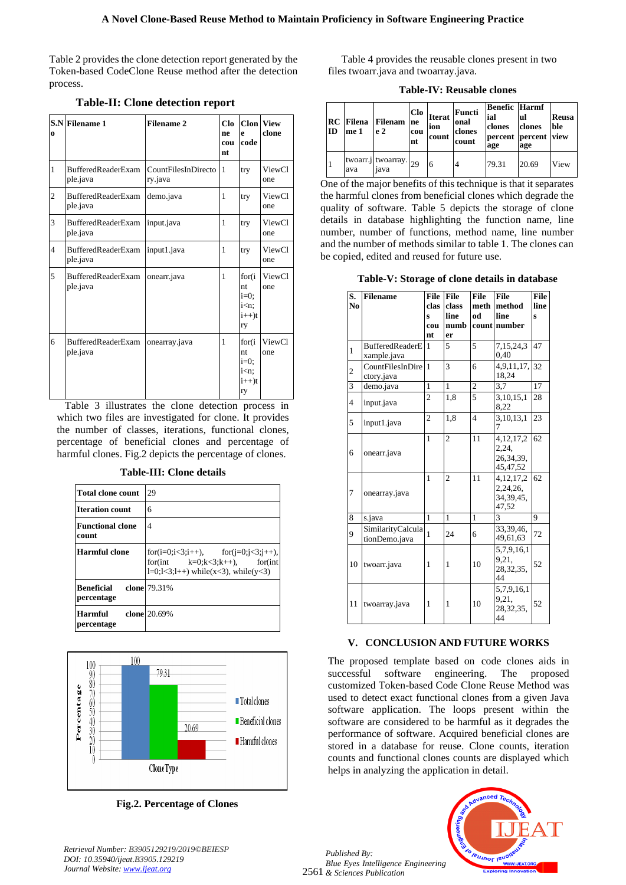Table 2 provides the clone detection report generated by the Token-based CodeClone Reuse method after the detection process.

| $\bf{0}$       | S.N Filename 1                        | <b>Filename 2</b>              | C1 <sub>0</sub><br>ne<br>cou<br>nt | e<br>code                                                            | <b>Clon</b> View<br>clone |
|----------------|---------------------------------------|--------------------------------|------------------------------------|----------------------------------------------------------------------|---------------------------|
| $\mathbf{1}$   | <b>BufferedReaderExam</b><br>ple.java | CountFilesInDirecto<br>ry.java | 1                                  | try                                                                  | ViewCl<br>one             |
| $\overline{c}$ | BufferedReaderExam<br>ple.java        | demo.java                      | 1                                  | try                                                                  | ViewCl<br>one             |
| 3              | <b>BufferedReaderExam</b><br>ple.java | input.java                     | 1                                  | try                                                                  | ViewCl<br>one             |
| $\overline{4}$ | BufferedReaderExam<br>ple.java        | input1.java                    | 1                                  | try                                                                  | ViewCl<br>one             |
| 5              | <b>BufferedReaderExam</b><br>ple.java | onearr.java                    | 1                                  | for(i)<br>nt.<br>$i=0$ ;<br>$i<$ n:<br>$i++$ )t<br>ry                | ViewCl<br>one             |
| 6              | <b>BufferedReaderExam</b><br>ple.java | onearray.java                  | 1                                  | for(i<br>nt.<br>$i=0;$<br>i <n;<br><math>i++</math>)t<br/>ry</n;<br> | ViewCl<br>one             |

#### **Table-II: Clone detection report**

Table 3 illustrates the clone detection process in which two files are investigated for clone. It provides the number of classes, iterations, functional clones, percentage of beneficial clones and percentage of harmful clones. Fig.2 depicts the percentage of clones.

#### **Table-III: Clone details**

| <b>Total clone count</b>         | 29                                                                                                                  |
|----------------------------------|---------------------------------------------------------------------------------------------------------------------|
| <b>Iteration count</b>           | 6                                                                                                                   |
| <b>Functional clone</b><br>count | 4                                                                                                                   |
| Harmful clone                    | for(i=0;i<3;i++), for(j=0;j<3;j++),<br>for(int $k=0; k<3; k++)$ , for(int<br>$1=0; 1<3; 1++$ while(x<3), while(y<3) |
| Beneficial<br>percentage         | clone 79.31%                                                                                                        |
| Harmful<br>percentage            | clone 20.69%                                                                                                        |



**Fig.2. Percentage of Clones**

Table 4 provides the reusable clones present in two files twoarr.java and twoarray.java.

**Table-IV: Reusable clones**

| ID | <b>RC</b> Filena<br>me 1 | Filenam<br>e <sub>2</sub>       | Clo<br>ne<br>cou<br>nt | <b>Iterat</b><br>ion<br>count | Functi<br>onal<br>clones<br>count | <b>Benefic Harmf</b><br>ial<br>clones<br>age | lul<br>clones<br>percent percent view<br>age | Reusa<br>ble |
|----|--------------------------|---------------------------------|------------------------|-------------------------------|-----------------------------------|----------------------------------------------|----------------------------------------------|--------------|
|    | ava                      | twoarr.j twoarray. $29$<br>iava |                        |                               | 4                                 | 79.31                                        | 20.69                                        | View         |

One of the major benefits of this technique is that it separates the harmful clones from beneficial clones which degrade the quality of software. Table 5 depicts the storage of clone details in database highlighting the function name, line number, number of functions, method name, line number and the number of methods similar to table 1. The clones can be copied, edited and reused for future use.

**Table-V: Storage of clone details in database**

| S.<br>N <sub>0</sub> | <b>Filename</b>                       | <b>File</b><br>clas<br>Ś<br>cou<br>nt | <b>File</b><br>class<br>line<br>numb<br>er | <b>File</b><br>meth<br>ho | <b>File</b><br>method<br>line<br>count number    | <b>File</b><br>line<br>Š |
|----------------------|---------------------------------------|---------------------------------------|--------------------------------------------|---------------------------|--------------------------------------------------|--------------------------|
| 1                    | <b>BufferedReaderE</b><br>xample.java | 1                                     | 5                                          | 5                         | 7,15,24,3<br>0,40                                | 47                       |
| $\overline{c}$       | CountFilesInDire<br>ctory.java        | 1                                     | 3                                          | 6                         | 4,9,11,17,<br>18,24                              | 32                       |
| 3                    | demo.java                             | $\overline{1}$                        | 1                                          | $\overline{2}$            | 3,7                                              | 17                       |
| 4                    | input.java                            | $\overline{2}$                        | 1,8                                        | 5                         | 3, 10, 15, 1<br>8,22                             | 28                       |
| 5                    | input1.java                           | $\overline{2}$                        | 1,8                                        | $\overline{4}$            | 3,10,13,1                                        | 23                       |
| 6                    | onearr.java                           | 1                                     | $\overline{2}$                             | 11                        | 4, 12, 17, 2<br>2,24,<br>26,34,39,<br>45, 47, 52 | 62                       |
| 7                    | onearray.java                         | 1                                     | $\overline{2}$                             | 11                        | 4, 12, 17, 2<br>2,24,26,<br>34, 39, 45,<br>47.52 | 62                       |
| 8                    | s.java                                | $\mathbf{1}$                          | $\mathbf{1}$                               | 1                         | $\mathbf{3}$                                     | 9                        |
| 9                    | SimilarityCalcula<br>tionDemo.java    | 1                                     | 24                                         | 6                         | 33,39,46,<br>49,61,63                            | 72                       |
| 10                   | twoarr.java                           | 1                                     | 1                                          | 10                        | 5,7,9,16,1<br>9.21.<br>28, 32, 35,<br>44         | 52                       |
| 11                   | twoarray.java                         | 1                                     | 1                                          | 10                        | 5,7,9,16,1<br>9.21,<br>28, 32, 35,<br>44         | 52                       |

#### **V. CONCLUSION AND FUTURE WORKS**

The proposed template based on code clones aids in successful software engineering. The proposed customized Token-based Code Clone Reuse Method was used to detect exact functional clones from a given Java software application. The loops present within the software are considered to be harmful as it degrades the performance of software. Acquired beneficial clones are stored in a database for reuse. Clone counts, iteration counts and functional clones counts are displayed which helps in analyzing the application in detail.

2561 *& Sciences Publication Published By: Blue Eyes Intelligence Engineering* 



*Retrieval Number: B3905129219/2019©BEIESP DOI: 10.35940/ijeat.B3905.129219 Journal Website[: www.ijeat.org](http://www.ijeat.org/)*